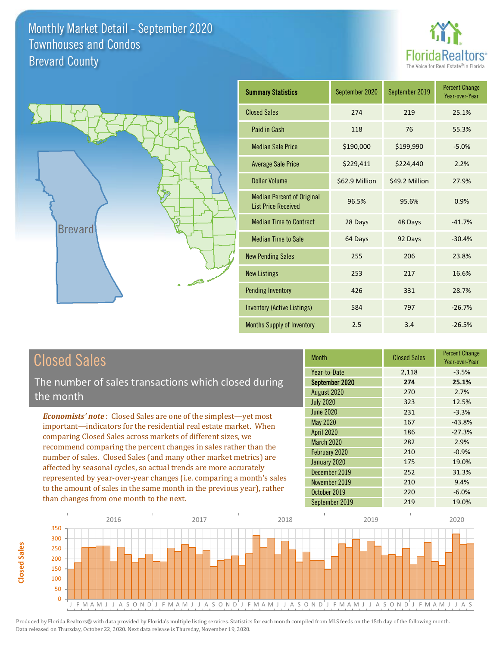



| <b>Summary Statistics</b>                                       | September 2020 | September 2019 | <b>Percent Change</b><br>Year-over-Year |
|-----------------------------------------------------------------|----------------|----------------|-----------------------------------------|
| <b>Closed Sales</b>                                             | 274            | 219            | 25.1%                                   |
| Paid in Cash                                                    | 118            | 76             | 55.3%                                   |
| <b>Median Sale Price</b>                                        | \$190,000      | \$199,990      | $-5.0%$                                 |
| <b>Average Sale Price</b>                                       | \$229,411      | \$224,440      | 2.2%                                    |
| Dollar Volume                                                   | \$62.9 Million | \$49.2 Million | 27.9%                                   |
| <b>Median Percent of Original</b><br><b>List Price Received</b> | 96.5%          | 95.6%          | 0.9%                                    |
| <b>Median Time to Contract</b>                                  | 28 Days        | 48 Days        | $-41.7%$                                |
| <b>Median Time to Sale</b>                                      | 64 Days        | 92 Days        | $-30.4%$                                |
| <b>New Pending Sales</b>                                        | 255            | 206            | 23.8%                                   |
| <b>New Listings</b>                                             | 253            | 217            | 16.6%                                   |
| <b>Pending Inventory</b>                                        | 426            | 331            | 28.7%                                   |
| <b>Inventory (Active Listings)</b>                              | 584            | 797            | $-26.7%$                                |
| Months Supply of Inventory                                      | 2.5            | 3.4            | $-26.5%$                                |

## Closed Sales

The number of sales transactions which closed during the month

*Economists' note* : Closed Sales are one of the simplest—yet most important—indicators for the residential real estate market. When comparing Closed Sales across markets of different sizes, we recommend comparing the percent changes in sales rather than the number of sales. Closed Sales (and many other market metrics) are affected by seasonal cycles, so actual trends are more accurately represented by year-over-year changes (i.e. comparing a month's sales to the amount of sales in the same month in the previous year), rather than changes from one month to the next.

| <b>Month</b>      | <b>Closed Sales</b> | <b>Percent Change</b><br>Year-over-Year |
|-------------------|---------------------|-----------------------------------------|
| Year-to-Date      | 2,118               | $-3.5%$                                 |
| September 2020    | 274                 | 25.1%                                   |
| August 2020       | 270                 | 2.7%                                    |
| <b>July 2020</b>  | 323                 | 12.5%                                   |
| <b>June 2020</b>  | 231                 | $-3.3%$                                 |
| May 2020          | 167                 | $-43.8%$                                |
| <b>April 2020</b> | 186                 | $-27.3%$                                |
| <b>March 2020</b> | 282                 | 2.9%                                    |
| February 2020     | 210                 | $-0.9%$                                 |
| January 2020      | 175                 | 19.0%                                   |
| December 2019     | 252                 | 31.3%                                   |
| November 2019     | 210                 | 9.4%                                    |
| October 2019      | 220                 | $-6.0%$                                 |
| September 2019    | 219                 | 19.0%                                   |

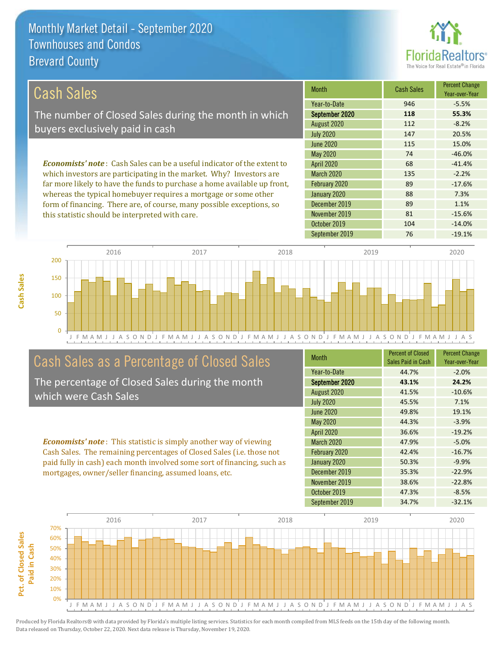this statistic should be interpreted with care.



81 -15.6%

| Cash Sales                                                                     | <b>Month</b>      | <b>Cash Sales</b> | <b>Percent Change</b><br>Year-over-Year |
|--------------------------------------------------------------------------------|-------------------|-------------------|-----------------------------------------|
|                                                                                | Year-to-Date      | 946               | $-5.5%$                                 |
| The number of Closed Sales during the month in which                           | September 2020    | 118               | 55.3%                                   |
| buyers exclusively paid in cash                                                | August 2020       | 112               | $-8.2%$                                 |
|                                                                                | <b>July 2020</b>  | 147               | 20.5%                                   |
|                                                                                | June 2020         | 115               | 15.0%                                   |
|                                                                                | May 2020          | 74                | $-46.0%$                                |
| <b>Economists' note:</b> Cash Sales can be a useful indicator of the extent to | <b>April 2020</b> | 68                | $-41.4%$                                |
| which investors are participating in the market. Why? Investors are            | <b>March 2020</b> | 135               | $-2.2%$                                 |
| far more likely to have the funds to purchase a home available up front,       | February 2020     | 89                | $-17.6%$                                |
| whereas the typical homebuyer requires a mortgage or some other                | January 2020      | 88                | 7.3%                                    |
| form of financing. There are, of course, many possible exceptions, so          | December 2019     | 89                | 1.1%                                    |



## Cash Sales as a Percentage of Closed Sales

The percentage of Closed Sales during the month which were Cash Sales

*Economists' note* : This statistic is simply another way of viewing Cash Sales. The remaining percentages of Closed Sales (i.e. those not paid fully in cash) each month involved some sort of financing, such as mortgages, owner/seller financing, assumed loans, etc.

| <b>Month</b>      | <b>Percent of Closed</b><br>Sales Paid in Cash | <b>Percent Change</b><br>Year-over-Year |
|-------------------|------------------------------------------------|-----------------------------------------|
| Year-to-Date      | 44.7%                                          | $-2.0%$                                 |
| September 2020    | 43.1%                                          | 24.2%                                   |
| August 2020       | 41.5%                                          | $-10.6%$                                |
| <b>July 2020</b>  | 45.5%                                          | 7.1%                                    |
| <b>June 2020</b>  | 49.8%                                          | 19.1%                                   |
| May 2020          | 44.3%                                          | $-3.9%$                                 |
| <b>April 2020</b> | 36.6%                                          | $-19.2%$                                |
| <b>March 2020</b> | 47.9%                                          | $-5.0%$                                 |
| February 2020     | 42.4%                                          | $-16.7%$                                |
| January 2020      | 50.3%                                          | $-9.9%$                                 |
| December 2019     | 35.3%                                          | $-22.9%$                                |
| November 2019     | 38.6%                                          | $-22.8%$                                |
| October 2019      | 47.3%                                          | $-8.5%$                                 |
| September 2019    | 34.7%                                          | $-32.1%$                                |

September 2019 76 -19.1%

October 2019 104 -14.0%

November 2019



**Cash Sales**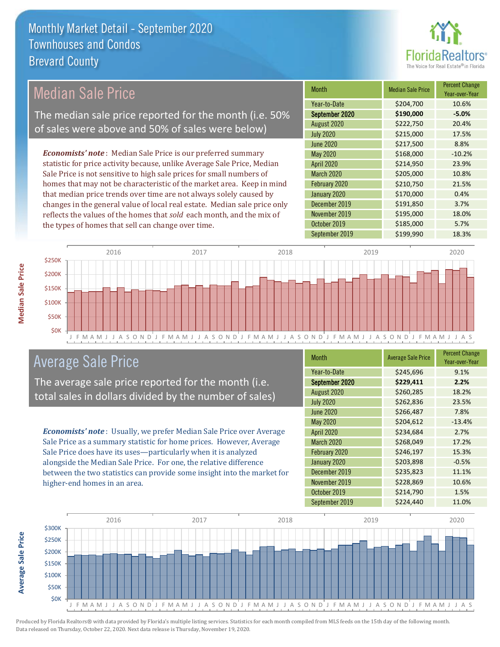

## Median Sale Price

The median sale price reported for the month (i.e. 50% of sales were above and 50% of sales were below)

*Economists' note* : Median Sale Price is our preferred summary statistic for price activity because, unlike Average Sale Price, Median Sale Price is not sensitive to high sale prices for small numbers of homes that may not be characteristic of the market area. Keep in mind that median price trends over time are not always solely caused by changes in the general value of local real estate. Median sale price only reflects the values of the homes that *sold* each month, and the mix of the types of homes that sell can change over time.

| <b>Month</b>     | <b>Median Sale Price</b> | <b>Percent Change</b><br>Year-over-Year |
|------------------|--------------------------|-----------------------------------------|
| Year-to-Date     | \$204,700                | 10.6%                                   |
| September 2020   | \$190,000                | $-5.0%$                                 |
| August 2020      | \$222,750                | 20.4%                                   |
| <b>July 2020</b> | \$215,000                | 17.5%                                   |
| <b>June 2020</b> | \$217,500                | 8.8%                                    |
| May 2020         | \$168,000                | $-10.2%$                                |
| April 2020       | \$214,950                | 23.9%                                   |
| March 2020       | \$205,000                | 10.8%                                   |
| February 2020    | \$210,750                | 21.5%                                   |
| January 2020     | \$170,000                | 0.4%                                    |
| December 2019    | \$191,850                | 3.7%                                    |
| November 2019    | \$195,000                | 18.0%                                   |
| October 2019     | \$185,000                | 5.7%                                    |
| September 2019   | \$199,990                | 18.3%                                   |



### Average Sale Price

The average sale price reported for the month (i.e. total sales in dollars divided by the number of sales)

*Economists' note* : Usually, we prefer Median Sale Price over Average Sale Price as a summary statistic for home prices. However, Average Sale Price does have its uses—particularly when it is analyzed alongside the Median Sale Price. For one, the relative difference between the two statistics can provide some insight into the market for higher-end homes in an area.

| Month             | <b>Average Sale Price</b> | <b>Percent Change</b><br>Year-over-Year |
|-------------------|---------------------------|-----------------------------------------|
| Year-to-Date      | \$245,696                 | 9.1%                                    |
| September 2020    | \$229,411                 | 2.2%                                    |
| August 2020       | \$260,285                 | 18.2%                                   |
| <b>July 2020</b>  | \$262,836                 | 23.5%                                   |
| <b>June 2020</b>  | \$266,487                 | 7.8%                                    |
| <b>May 2020</b>   | \$204,612                 | $-13.4%$                                |
| <b>April 2020</b> | \$234,684                 | 2.7%                                    |
| March 2020        | \$268,049                 | 17.2%                                   |
| February 2020     | \$246,197                 | 15.3%                                   |
| January 2020      | \$203,898                 | $-0.5%$                                 |
| December 2019     | \$235,823                 | 11.1%                                   |
| November 2019     | \$228,869                 | 10.6%                                   |
| October 2019      | \$214,790                 | 1.5%                                    |
| September 2019    | \$224,440                 | 11.0%                                   |



Produced by Florida Realtors® with data provided by Florida's multiple listing services. Statistics for each month compiled from MLS feeds on the 15th day of the following month. Data released on Thursday, October 22, 2020. Next data release is Thursday, November 19, 2020.

**Average Sale Price**

Average Sale Price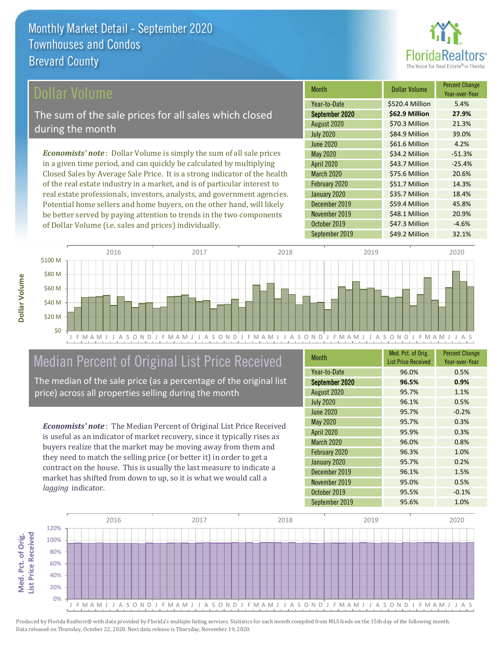

#### ollar Volume

The sum of the sale prices for all sales which closed during the month

*Economists' note* : Dollar Volume is simply the sum of all sale prices in a given time period, and can quickly be calculated by multiplying Closed Sales by Average Sale Price. It is a strong indicator of the health of the real estate industry in a market, and is of particular interest to real estate professionals, investors, analysts, and government agencies. Potential home sellers and home buyers, on the other hand, will likely be better served by paying attention to trends in the two components of Dollar Volume (i.e. sales and prices) individually.

| <b>Month</b>      | <b>Dollar Volume</b> | <b>Percent Change</b><br>Year-over-Year |
|-------------------|----------------------|-----------------------------------------|
| Year-to-Date      | \$520.4 Million      | 5.4%                                    |
| September 2020    | \$62.9 Million       | 27.9%                                   |
| August 2020       | \$70.3 Million       | 21.3%                                   |
| <b>July 2020</b>  | \$84.9 Million       | 39.0%                                   |
| <b>June 2020</b>  | \$61.6 Million       | 4.2%                                    |
| <b>May 2020</b>   | \$34.2 Million       | $-51.3%$                                |
| <b>April 2020</b> | \$43.7 Million       | $-25.4%$                                |
| <b>March 2020</b> | \$75.6 Million       | 20.6%                                   |
| February 2020     | \$51.7 Million       | 14.3%                                   |
| January 2020      | \$35.7 Million       | 18.4%                                   |
| December 2019     | \$59.4 Million       | 45.8%                                   |
| November 2019     | \$48.1 Million       | 20.9%                                   |
| October 2019      | \$47.3 Million       | $-4.6%$                                 |
| September 2019    | \$49.2 Million       | 32.1%                                   |



## Median Percent of Original List Price Received

The median of the sale price (as a percentage of the original list price) across all properties selling during the month

*Economists' note* : The Median Percent of Original List Price Received is useful as an indicator of market recovery, since it typically rises as buyers realize that the market may be moving away from them and they need to match the selling price (or better it) in order to get a contract on the house. This is usually the last measure to indicate a market has shifted from down to up, so it is what we would call a *lagging* indicator.

| <b>Month</b>      | Med. Pct. of Orig.<br><b>List Price Received</b> | <b>Percent Change</b><br>Year-over-Year |
|-------------------|--------------------------------------------------|-----------------------------------------|
| Year-to-Date      | 96.0%                                            | 0.5%                                    |
| September 2020    | 96.5%                                            | 0.9%                                    |
| August 2020       | 95.7%                                            | 1.1%                                    |
| <b>July 2020</b>  | 96.1%                                            | 0.5%                                    |
| <b>June 2020</b>  | 95.7%                                            | $-0.2%$                                 |
| <b>May 2020</b>   | 95.7%                                            | 0.3%                                    |
| <b>April 2020</b> | 95.9%                                            | 0.3%                                    |
| <b>March 2020</b> | 96.0%                                            | 0.8%                                    |
| February 2020     | 96.3%                                            | 1.0%                                    |
| January 2020      | 95.7%                                            | 0.2%                                    |
| December 2019     | 96.1%                                            | 1.5%                                    |
| November 2019     | 95.0%                                            | 0.5%                                    |
| October 2019      | 95.5%                                            | $-0.1%$                                 |
| September 2019    | 95.6%                                            | 1.0%                                    |

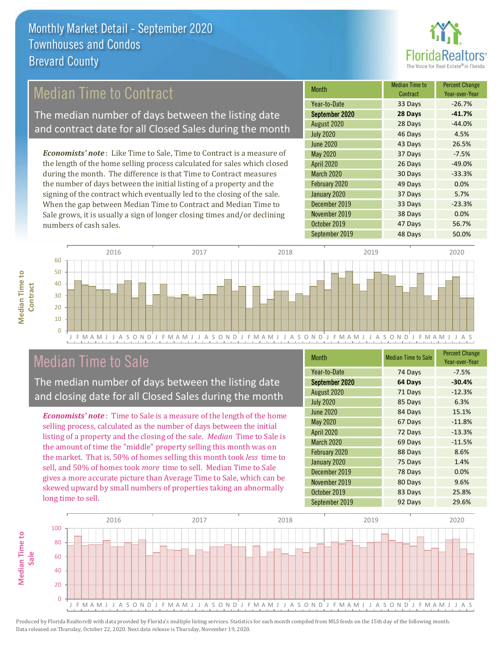

## Median Time to Contract

The median number of days between the listing date and contract date for all Closed Sales during the month

*Economists' note* : Like Time to Sale, Time to Contract is a measure of the length of the home selling process calculated for sales which closed during the month. The difference is that Time to Contract measures the number of days between the initial listing of a property and the signing of the contract which eventually led to the closing of the sale. When the gap between Median Time to Contract and Median Time to Sale grows, it is usually a sign of longer closing times and/or declining numbers of cash sales.

| <b>Month</b>      | <b>Median Time to</b><br>Contract | <b>Percent Change</b><br>Year-over-Year |
|-------------------|-----------------------------------|-----------------------------------------|
| Year-to-Date      | 33 Days                           | $-26.7%$                                |
| September 2020    | 28 Days                           | $-41.7%$                                |
| August 2020       | 28 Days                           | $-44.0%$                                |
| <b>July 2020</b>  | 46 Days                           | 4.5%                                    |
| <b>June 2020</b>  | 43 Days                           | 26.5%                                   |
| May 2020          | 37 Days                           | $-7.5%$                                 |
| April 2020        | 26 Days                           | $-49.0%$                                |
| <b>March 2020</b> | 30 Days                           | $-33.3%$                                |
| February 2020     | 49 Days                           | 0.0%                                    |
| January 2020      | 37 Days                           | 5.7%                                    |
| December 2019     | 33 Days                           | $-23.3%$                                |
| November 2019     | 38 Days                           | 0.0%                                    |
| October 2019      | 47 Days                           | 56.7%                                   |
| September 2019    | 48 Days                           | 50.0%                                   |



### Median Time to Sale

**Median Time to** 

**Median Time to** 

The median number of days between the listing date and closing date for all Closed Sales during the month

*Economists' note* : Time to Sale is a measure of the length of the home selling process, calculated as the number of days between the initial listing of a property and the closing of the sale. *Median* Time to Sale is the amount of time the "middle" property selling this month was on the market. That is, 50% of homes selling this month took *less* time to sell, and 50% of homes took *more* time to sell. Median Time to Sale gives a more accurate picture than Average Time to Sale, which can be skewed upward by small numbers of properties taking an abnormally long time to sell.

| <b>Month</b>      | <b>Median Time to Sale</b> | <b>Percent Change</b><br>Year-over-Year |
|-------------------|----------------------------|-----------------------------------------|
| Year-to-Date      | 74 Days                    | $-7.5%$                                 |
| September 2020    | 64 Days                    | $-30.4%$                                |
| August 2020       | 71 Days                    | $-12.3%$                                |
| <b>July 2020</b>  | 85 Days                    | 6.3%                                    |
| <b>June 2020</b>  | 84 Days                    | 15.1%                                   |
| <b>May 2020</b>   | 67 Days                    | $-11.8%$                                |
| <b>April 2020</b> | 72 Days                    | $-13.3%$                                |
| <b>March 2020</b> | 69 Days                    | $-11.5%$                                |
| February 2020     | 88 Days                    | 8.6%                                    |
| January 2020      | 75 Days                    | 1.4%                                    |
| December 2019     | 78 Days                    | 0.0%                                    |
| November 2019     | 80 Days                    | 9.6%                                    |
| October 2019      | 83 Days                    | 25.8%                                   |
| September 2019    | 92 Days                    | 29.6%                                   |

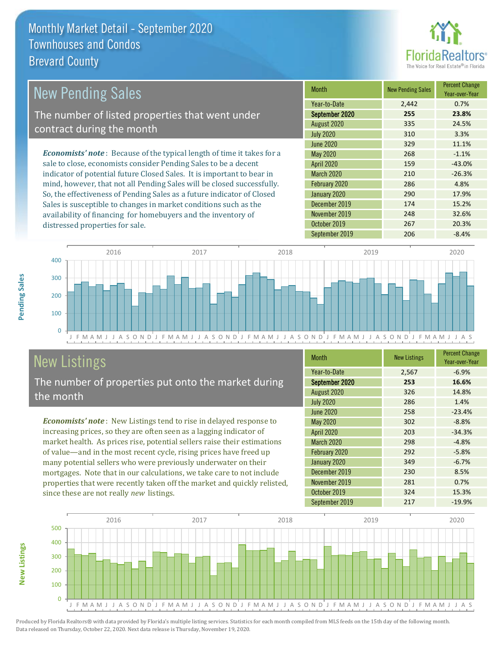

| <b>New Pending Sales</b>                                                       | <b>Month</b>      | <b>New Pending Sales</b> | <b>Percent Change</b><br>Year-over-Year |
|--------------------------------------------------------------------------------|-------------------|--------------------------|-----------------------------------------|
|                                                                                | Year-to-Date      | 2,442                    | 0.7%                                    |
| The number of listed properties that went under                                | September 2020    | 255                      | 23.8%                                   |
| contract during the month                                                      | August 2020       | 335                      | 24.5%                                   |
|                                                                                | <b>July 2020</b>  | 310                      | 3.3%                                    |
|                                                                                | <b>June 2020</b>  | 329                      | 11.1%                                   |
| <b>Economists' note</b> : Because of the typical length of time it takes for a | <b>May 2020</b>   | 268                      | $-1.1%$                                 |
| sale to close, economists consider Pending Sales to be a decent                | <b>April 2020</b> | 159                      | $-43.0%$                                |
| indicator of potential future Closed Sales. It is important to bear in         | <b>March 2020</b> | 210                      | $-26.3%$                                |
| mind, however, that not all Pending Sales will be closed successfully.         | February 2020     | 286                      | 4.8%                                    |
| So, the effectiveness of Pending Sales as a future indicator of Closed         | January 2020      | 290                      | 17.9%                                   |
| Sales is susceptible to changes in market conditions such as the               | December 2019     | 174                      | 15.2%                                   |
| availability of financing for homebuyers and the inventory of                  | November 2019     | 248                      | 32.6%                                   |



## New Listings

distressed properties for sale.

The number of properties put onto the market during the month

*Economists' note* : New Listings tend to rise in delayed response to increasing prices, so they are often seen as a lagging indicator of market health. As prices rise, potential sellers raise their estimations of value—and in the most recent cycle, rising prices have freed up many potential sellers who were previously underwater on their mortgages. Note that in our calculations, we take care to not include properties that were recently taken off the market and quickly relisted, since these are not really *new* listings.

| <b>Month</b>      | <b>New Listings</b> | <b>Percent Change</b><br>Year-over-Year |
|-------------------|---------------------|-----------------------------------------|
| Year-to-Date      | 2,567               | $-6.9%$                                 |
| September 2020    | 253                 | 16.6%                                   |
| August 2020       | 326                 | 14.8%                                   |
| <b>July 2020</b>  | 286                 | 1.4%                                    |
| <b>June 2020</b>  | 258                 | $-23.4%$                                |
| May 2020          | 302                 | $-8.8%$                                 |
| April 2020        | 203                 | $-34.3%$                                |
| <b>March 2020</b> | 298                 | $-4.8%$                                 |
| February 2020     | 292                 | $-5.8%$                                 |
| January 2020      | 349                 | $-6.7%$                                 |
| December 2019     | 230                 | 8.5%                                    |
| November 2019     | 281                 | 0.7%                                    |
| October 2019      | 324                 | 15.3%                                   |
| September 2019    | 217                 | $-19.9%$                                |

October 2019 267 20.3%



Produced by Florida Realtors® with data provided by Florida's multiple listing services. Statistics for each month compiled from MLS feeds on the 15th day of the following month. Data released on Thursday, October 22, 2020. Next data release is Thursday, November 19, 2020.

**New Listings**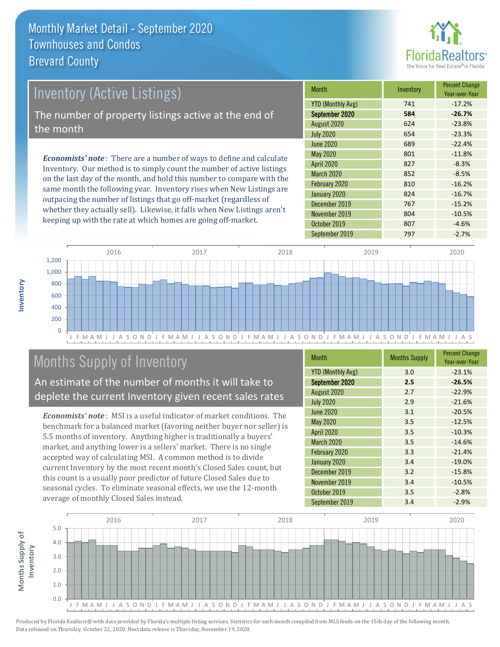

## *Economists' note* : There are a number of ways to define and calculate Inventory. Our method is to simply count the number of active listings Inventory (Active Listings) The number of property listings active at the end of the month

on the last day of the month, and hold this number to compare with the same month the following year. Inventory rises when New Listings are outpacing the number of listings that go off-market (regardless of whether they actually sell). Likewise, it falls when New Listings aren't keeping up with the rate at which homes are going off-market.

| <b>Month</b>             | Inventory | <b>Percent Change</b><br>Year-over-Year |
|--------------------------|-----------|-----------------------------------------|
| <b>YTD (Monthly Avg)</b> | 741       | $-17.2%$                                |
| September 2020           | 584       | $-26.7%$                                |
| August 2020              | 624       | $-23.8%$                                |
| <b>July 2020</b>         | 654       | $-23.3%$                                |
| <b>June 2020</b>         | 689       | $-22.4%$                                |
| May 2020                 | 801       | $-11.8%$                                |
| <b>April 2020</b>        | 827       | $-8.3%$                                 |
| <b>March 2020</b>        | 852       | $-8.5%$                                 |
| February 2020            | 810       | $-16.2%$                                |
| January 2020             | 824       | $-16.7%$                                |
| December 2019            | 767       | $-15.2%$                                |
| November 2019            | 804       | $-10.5%$                                |
| October 2019             | 807       | $-4.6%$                                 |
| September 2019           | 797       | $-2.7%$                                 |



## Months Supply of Inventory

An estimate of the number of months it will take to deplete the current Inventory given recent sales rates

*Economists' note* : MSI is a useful indicator of market conditions. The benchmark for a balanced market (favoring neither buyer nor seller) is 5.5 months of inventory. Anything higher is traditionally a buyers' market, and anything lower is a sellers' market. There is no single accepted way of calculating MSI. A common method is to divide current Inventory by the most recent month's Closed Sales count, but this count is a usually poor predictor of future Closed Sales due to seasonal cycles. To eliminate seasonal effects, we use the 12-month average of monthly Closed Sales instead.

| <b>Month</b>             | <b>Months Supply</b> | <b>Percent Change</b><br>Year-over-Year |
|--------------------------|----------------------|-----------------------------------------|
| <b>YTD (Monthly Avg)</b> | 3.0                  | $-23.1%$                                |
| September 2020           | 2.5                  | $-26.5%$                                |
| August 2020              | 2.7                  | $-22.9%$                                |
| <b>July 2020</b>         | 2.9                  | $-21.6%$                                |
| <b>June 2020</b>         | 3.1                  | $-20.5%$                                |
| May 2020                 | 3.5                  | $-12.5%$                                |
| <b>April 2020</b>        | 3.5                  | $-10.3%$                                |
| <b>March 2020</b>        | 3.5                  | $-14.6%$                                |
| February 2020            | 3.3                  | $-21.4%$                                |
| January 2020             | 3.4                  | $-19.0%$                                |
| December 2019            | 3.2                  | $-15.8%$                                |
| November 2019            | 3.4                  | $-10.5%$                                |
| October 2019             | 3.5                  | $-2.8%$                                 |
| September 2019           | 3.4                  | $-2.9%$                                 |

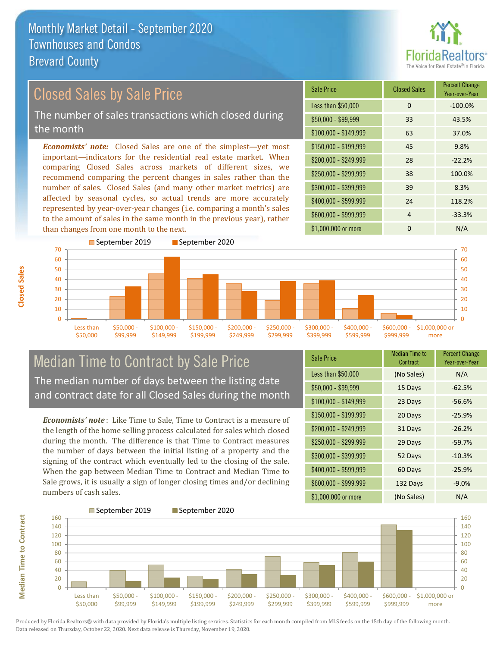

#### *Economists' note:* Closed Sales are one of the simplest—yet most important—indicators for the residential real estate market. When comparing Closed Sales across markets of different sizes, we recommend comparing the percent changes in sales rather than the number of sales. Closed Sales (and many other market metrics) are affected by seasonal cycles, so actual trends are more accurately represented by year-over-year changes (i.e. comparing a month's sales to the amount of sales in the same month in the previous year), rather than changes from one month to the next. \$1,000,000 or more 0 0 N/A \$250,000 - \$299,999 38 100.0% \$300,000 - \$399,999 39 8.3% \$400,000 - \$599,999 24 118.2% \$600,000 - \$999,999 4 -33.3% \$150,000 - \$199,999 45 9.8% \$200,000 - \$249,999 28 -22.2% \$100,000 - \$149,999 63 37.0% Sale Price Closed Sales Percent Change Year-over-Year Less than \$50,000 0 0 -100.0% \$50,000 - \$99,999 33 43.5% Closed Sales by Sale Price The number of sales transactions which closed during the month



#### Median Time to Contract by Sale Price The median number of days between the listing date and contract date for all Closed Sales during the month

*Economists' note* : Like Time to Sale, Time to Contract is a measure of the length of the home selling process calculated for sales which closed during the month. The difference is that Time to Contract measures the number of days between the initial listing of a property and the signing of the contract which eventually led to the closing of the sale. When the gap between Median Time to Contract and Median Time to Sale grows, it is usually a sign of longer closing times and/or declining numbers of cash sales.

| <b>Sale Price</b>     | <b>Median Time to</b><br>Contract | <b>Percent Change</b><br>Year-over-Year |
|-----------------------|-----------------------------------|-----------------------------------------|
| Less than \$50,000    | (No Sales)                        | N/A                                     |
| $$50,000 - $99,999$   | 15 Days                           | $-62.5%$                                |
| $$100,000 - $149,999$ | 23 Days                           | $-56.6%$                                |
| \$150,000 - \$199,999 | 20 Days                           | $-25.9%$                                |
| \$200,000 - \$249,999 | 31 Days                           | $-26.2%$                                |
| \$250,000 - \$299,999 | 29 Days                           | $-59.7%$                                |
| \$300,000 - \$399,999 | 52 Days                           | $-10.3%$                                |
| \$400,000 - \$599,999 | 60 Days                           | $-25.9%$                                |
| \$600,000 - \$999,999 | 132 Days                          | $-9.0%$                                 |
| \$1,000,000 or more   | (No Sales)                        | N/A                                     |

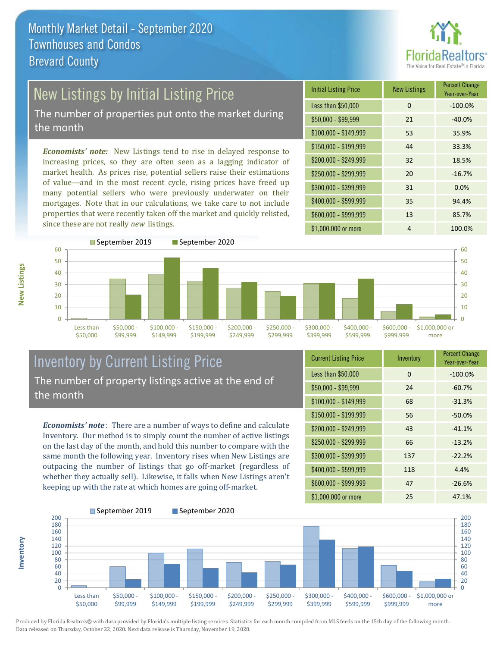

# New Listings by Initial Listing Price

The number of properties put onto the market during the month

*Economists' note:* New Listings tend to rise in delayed response to increasing prices, so they are often seen as a lagging indicator of market health. As prices rise, potential sellers raise their estimations of value—and in the most recent cycle, rising prices have freed up many potential sellers who were previously underwater on their mortgages. Note that in our calculations, we take care to not include properties that were recently taken off the market and quickly relisted, since these are not really *new* listings.

| <b>Initial Listing Price</b> | <b>New Listings</b> | <b>Percent Change</b><br>Year-over-Year |
|------------------------------|---------------------|-----------------------------------------|
| Less than \$50,000           | 0                   | $-100.0%$                               |
| $$50,000 - $99,999$          | 21                  | $-40.0%$                                |
| $$100,000 - $149,999$        | 53                  | 35.9%                                   |
| $$150,000 - $199,999$        | 44                  | 33.3%                                   |
| \$200,000 - \$249,999        | 32                  | 18.5%                                   |
| \$250,000 - \$299,999        | 20                  | $-16.7%$                                |
| \$300,000 - \$399,999        | 31                  | 0.0%                                    |
| \$400,000 - \$599,999        | 35                  | 94.4%                                   |
| \$600,000 - \$999,999        | 13                  | 85.7%                                   |
| \$1,000,000 or more          | 4                   | 100.0%                                  |



#### Inventory by Current Listing Price The number of property listings active at the end of the month

*Economists' note* : There are a number of ways to define and calculate Inventory. Our method is to simply count the number of active listings on the last day of the month, and hold this number to compare with the same month the following year. Inventory rises when New Listings are outpacing the number of listings that go off-market (regardless of whether they actually sell). Likewise, it falls when New Listings aren't keeping up with the rate at which homes are going off-market.

| <b>Current Listing Price</b> | Inventory | <b>Percent Change</b><br>Year-over-Year |
|------------------------------|-----------|-----------------------------------------|
| Less than \$50,000           | $\Omega$  | $-100.0%$                               |
| $$50,000 - $99,999$          | 24        | $-60.7%$                                |
| $$100,000 - $149,999$        | 68        | $-31.3%$                                |
| $$150,000 - $199,999$        | 56        | $-50.0%$                                |
| \$200,000 - \$249,999        | 43        | $-41.1%$                                |
| \$250,000 - \$299,999        | 66        | $-13.2%$                                |
| \$300,000 - \$399,999        | 137       | $-22.2%$                                |
| \$400,000 - \$599,999        | 118       | 4.4%                                    |
| \$600,000 - \$999,999        | 47        | $-26.6%$                                |
| \$1,000,000 or more          | 25        | 47.1%                                   |



Produced by Florida Realtors® with data provided by Florida's multiple listing services. Statistics for each month compiled from MLS feeds on the 15th day of the following month. Data released on Thursday, October 22, 2020. Next data release is Thursday, November 19, 2020.

**Inventory**